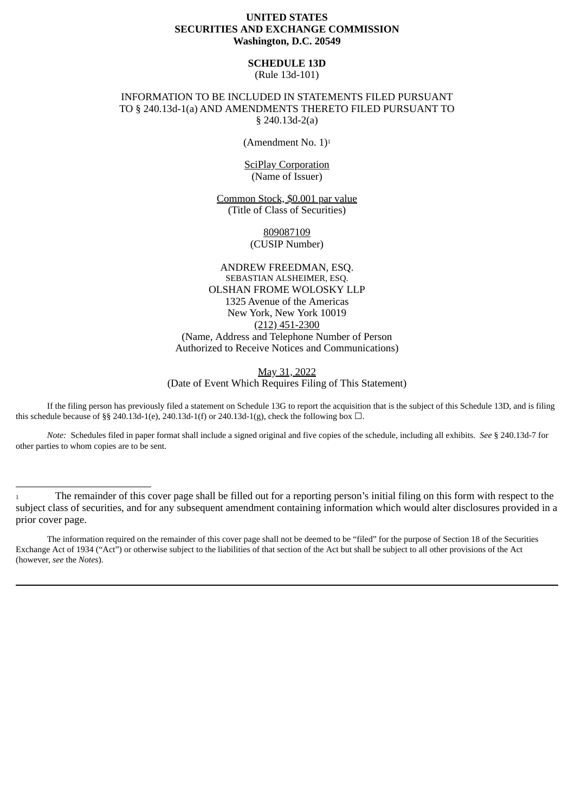# **UNITED STATES SECURITIES AND EXCHANGE COMMISSION Washington, D.C. 20549**

# **SCHEDULE 13D**

(Rule 13d-101)

# INFORMATION TO BE INCLUDED IN STATEMENTS FILED PURSUANT TO § 240.13d-1(a) AND AMENDMENTS THERETO FILED PURSUANT TO § 240.13d-2(a)

(Amendment No. 1)<sup>1</sup>

SciPlay Corporation (Name of Issuer)

Common Stock, \$0.001 par value (Title of Class of Securities)

> 809087109 (CUSIP Number)

ANDREW FREEDMAN, ESQ. SEBASTIAN ALSHEIMER, ESQ. OLSHAN FROME WOLOSKY LLP 1325 Avenue of the Americas New York, New York 10019 (212) 451-2300 (Name, Address and Telephone Number of Person Authorized to Receive Notices and Communications)

May 31, 2022 (Date of Event Which Requires Filing of This Statement)

If the filing person has previously filed a statement on Schedule 13G to report the acquisition that is the subject of this Schedule 13D, and is filing this schedule because of §§ 240.13d-1(e), 240.13d-1(f) or 240.13d-1(g), check the following box  $\Box$ .

*Note:* Schedules filed in paper format shall include a signed original and five copies of the schedule, including all exhibits. *See* § 240.13d-7 for other parties to whom copies are to be sent.

The information required on the remainder of this cover page shall not be deemed to be "filed" for the purpose of Section 18 of the Securities Exchange Act of 1934 ("Act") or otherwise subject to the liabilities of that section of the Act but shall be subject to all other provisions of the Act (however, *see* the *Notes*).

<sup>1</sup> The remainder of this cover page shall be filled out for a reporting person's initial filing on this form with respect to the subject class of securities, and for any subsequent amendment containing information which would alter disclosures provided in a prior cover page.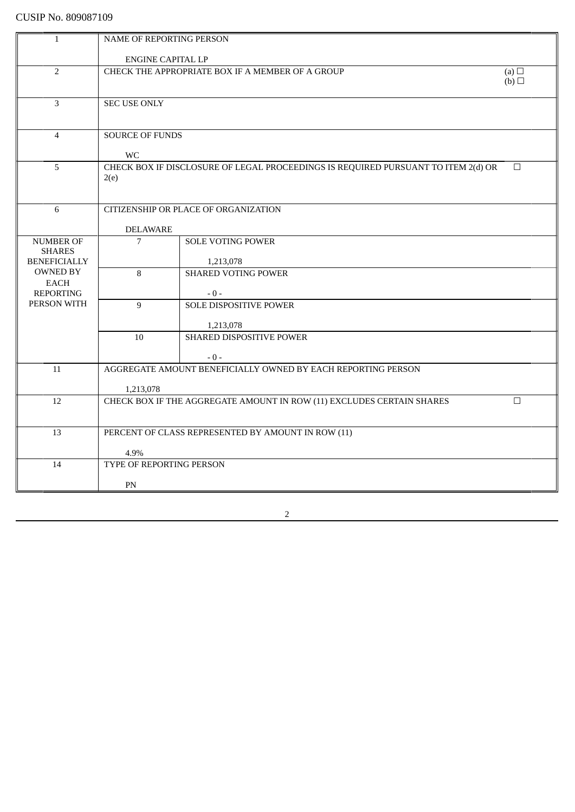| $\mathbf{1}$                      | <b>NAME OF REPORTING PERSON</b>                                |                                                                                   |        |
|-----------------------------------|----------------------------------------------------------------|-----------------------------------------------------------------------------------|--------|
|                                   |                                                                |                                                                                   |        |
|                                   | <b>ENGINE CAPITAL LP</b>                                       |                                                                                   |        |
| $\overline{2}$                    | CHECK THE APPROPRIATE BOX IF A MEMBER OF A GROUP<br>(a) $\Box$ |                                                                                   |        |
|                                   |                                                                |                                                                                   | (b)    |
|                                   |                                                                |                                                                                   |        |
| $\overline{3}$                    | <b>SEC USE ONLY</b>                                            |                                                                                   |        |
|                                   |                                                                |                                                                                   |        |
| $\overline{4}$                    | <b>SOURCE OF FUNDS</b>                                         |                                                                                   |        |
|                                   |                                                                |                                                                                   |        |
|                                   | <b>WC</b>                                                      |                                                                                   |        |
| 5                                 |                                                                | CHECK BOX IF DISCLOSURE OF LEGAL PROCEEDINGS IS REQUIRED PURSUANT TO ITEM 2(d) OR | $\Box$ |
|                                   | 2(e)                                                           |                                                                                   |        |
|                                   |                                                                |                                                                                   |        |
|                                   |                                                                |                                                                                   |        |
| 6                                 |                                                                | CITIZENSHIP OR PLACE OF ORGANIZATION                                              |        |
|                                   |                                                                |                                                                                   |        |
|                                   | <b>DELAWARE</b><br>$\overline{7}$                              | <b>SOLE VOTING POWER</b>                                                          |        |
| <b>NUMBER OF</b><br><b>SHARES</b> |                                                                |                                                                                   |        |
| <b>BENEFICIALLY</b>               |                                                                | 1,213,078                                                                         |        |
| <b>OWNED BY</b>                   | 8                                                              | <b>SHARED VOTING POWER</b>                                                        |        |
| EACH                              |                                                                |                                                                                   |        |
| <b>REPORTING</b>                  |                                                                | $-0-$                                                                             |        |
| PERSON WITH                       | 9                                                              | <b>SOLE DISPOSITIVE POWER</b>                                                     |        |
|                                   |                                                                |                                                                                   |        |
|                                   |                                                                | 1,213,078                                                                         |        |
|                                   | 10                                                             | SHARED DISPOSITIVE POWER                                                          |        |
|                                   |                                                                | $-0-$                                                                             |        |
| 11                                |                                                                | AGGREGATE AMOUNT BENEFICIALLY OWNED BY EACH REPORTING PERSON                      |        |
|                                   |                                                                |                                                                                   |        |
|                                   | 1,213,078                                                      |                                                                                   |        |
| 12                                |                                                                | CHECK BOX IF THE AGGREGATE AMOUNT IN ROW (11) EXCLUDES CERTAIN SHARES             | $\Box$ |
|                                   |                                                                |                                                                                   |        |
|                                   |                                                                |                                                                                   |        |
| 13                                |                                                                | PERCENT OF CLASS REPRESENTED BY AMOUNT IN ROW (11)                                |        |
|                                   |                                                                |                                                                                   |        |
|                                   | 4.9%                                                           |                                                                                   |        |
| 14                                | TYPE OF REPORTING PERSON                                       |                                                                                   |        |
|                                   | PN                                                             |                                                                                   |        |
|                                   |                                                                |                                                                                   |        |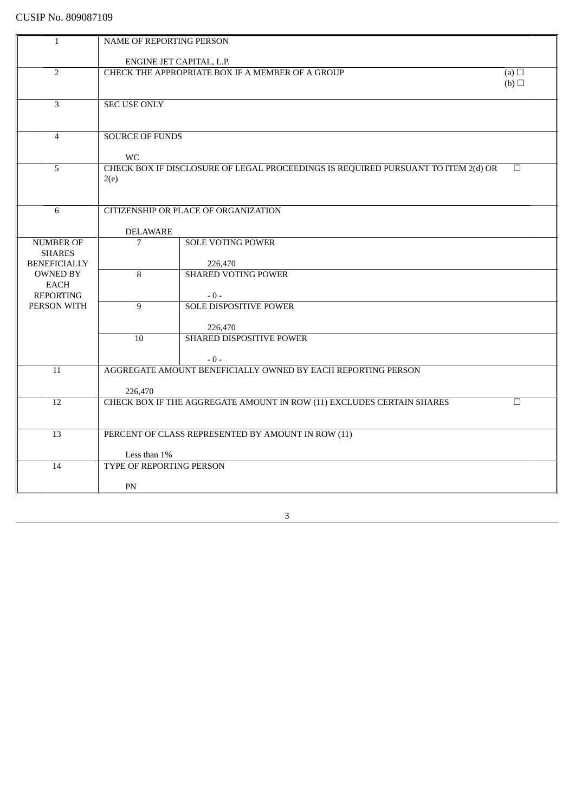| $\mathbf{1}$        | NAME OF REPORTING PERSON                                       |                                                                                   |        |
|---------------------|----------------------------------------------------------------|-----------------------------------------------------------------------------------|--------|
|                     |                                                                |                                                                                   |        |
|                     | ENGINE JET CAPITAL, L.P.                                       |                                                                                   |        |
| $\overline{2}$      | CHECK THE APPROPRIATE BOX IF A MEMBER OF A GROUP<br>(a) $\Box$ |                                                                                   |        |
|                     |                                                                |                                                                                   | (b)    |
|                     |                                                                |                                                                                   |        |
| 3                   | <b>SEC USE ONLY</b>                                            |                                                                                   |        |
|                     |                                                                |                                                                                   |        |
|                     |                                                                |                                                                                   |        |
| $\overline{4}$      | <b>SOURCE OF FUNDS</b>                                         |                                                                                   |        |
|                     |                                                                |                                                                                   |        |
|                     | <b>WC</b>                                                      |                                                                                   |        |
| 5                   |                                                                | CHECK BOX IF DISCLOSURE OF LEGAL PROCEEDINGS IS REQUIRED PURSUANT TO ITEM 2(d) OR | $\Box$ |
|                     | 2(e)                                                           |                                                                                   |        |
|                     |                                                                |                                                                                   |        |
|                     |                                                                | <b>CITIZENSHIP OR PLACE OF ORGANIZATION</b>                                       |        |
| 6                   |                                                                |                                                                                   |        |
|                     | <b>DELAWARE</b>                                                |                                                                                   |        |
| <b>NUMBER OF</b>    | $\overline{7}$                                                 | <b>SOLE VOTING POWER</b>                                                          |        |
| <b>SHARES</b>       |                                                                |                                                                                   |        |
| <b>BENEFICIALLY</b> |                                                                |                                                                                   |        |
| <b>OWNED BY</b>     | 8                                                              | 226,470<br><b>SHARED VOTING POWER</b>                                             |        |
| EACH                |                                                                |                                                                                   |        |
| <b>REPORTING</b>    |                                                                | $-0-$                                                                             |        |
| PERSON WITH         | 9                                                              | <b>SOLE DISPOSITIVE POWER</b>                                                     |        |
|                     |                                                                |                                                                                   |        |
|                     |                                                                | 226,470                                                                           |        |
|                     | 10                                                             | SHARED DISPOSITIVE POWER                                                          |        |
|                     |                                                                |                                                                                   |        |
|                     |                                                                | $-0-$                                                                             |        |
| 11                  |                                                                | AGGREGATE AMOUNT BENEFICIALLY OWNED BY EACH REPORTING PERSON                      |        |
|                     |                                                                |                                                                                   |        |
|                     | 226,470                                                        |                                                                                   |        |
| 12                  |                                                                | CHECK BOX IF THE AGGREGATE AMOUNT IN ROW (11) EXCLUDES CERTAIN SHARES             | $\Box$ |
|                     |                                                                |                                                                                   |        |
|                     |                                                                |                                                                                   |        |
| 13                  |                                                                | PERCENT OF CLASS REPRESENTED BY AMOUNT IN ROW (11)                                |        |
|                     |                                                                |                                                                                   |        |
|                     | Less than 1%                                                   |                                                                                   |        |
| 14                  | <b>TYPE OF REPORTING PERSON</b>                                |                                                                                   |        |
|                     |                                                                |                                                                                   |        |
|                     | PN                                                             |                                                                                   |        |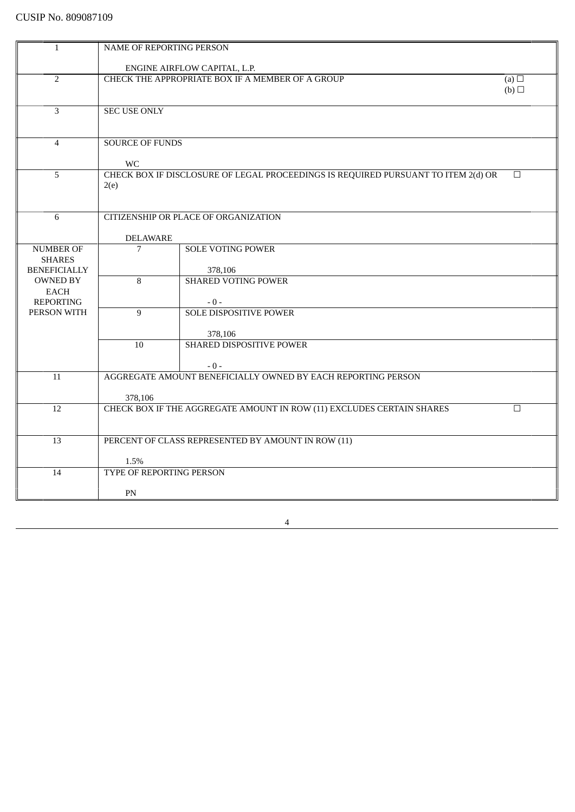| $\mathbf{1}$        |                                                    |                                                                                   |            |
|---------------------|----------------------------------------------------|-----------------------------------------------------------------------------------|------------|
|                     | NAME OF REPORTING PERSON                           |                                                                                   |            |
|                     | ENGINE AIRFLOW CAPITAL, L.P.                       |                                                                                   |            |
|                     | CHECK THE APPROPRIATE BOX IF A MEMBER OF A GROUP   |                                                                                   |            |
| $\overline{2}$      |                                                    |                                                                                   | (a) $\Box$ |
|                     |                                                    |                                                                                   | (b)        |
|                     |                                                    |                                                                                   |            |
| 3                   | <b>SEC USE ONLY</b>                                |                                                                                   |            |
|                     |                                                    |                                                                                   |            |
|                     |                                                    |                                                                                   |            |
| $\overline{4}$      | <b>SOURCE OF FUNDS</b>                             |                                                                                   |            |
|                     |                                                    |                                                                                   |            |
| 5                   | <b>WC</b>                                          | CHECK BOX IF DISCLOSURE OF LEGAL PROCEEDINGS IS REQUIRED PURSUANT TO ITEM 2(d) OR | $\Box$     |
|                     |                                                    |                                                                                   |            |
|                     | 2(e)                                               |                                                                                   |            |
|                     |                                                    |                                                                                   |            |
| 6                   |                                                    | CITIZENSHIP OR PLACE OF ORGANIZATION                                              |            |
|                     |                                                    |                                                                                   |            |
|                     | <b>DELAWARE</b>                                    |                                                                                   |            |
| <b>NUMBER OF</b>    | $\overline{7}$                                     | <b>SOLE VOTING POWER</b>                                                          |            |
| <b>SHARES</b>       |                                                    |                                                                                   |            |
| <b>BENEFICIALLY</b> |                                                    | 378,106                                                                           |            |
| <b>OWNED BY</b>     | 8                                                  | <b>SHARED VOTING POWER</b>                                                        |            |
| EACH                |                                                    |                                                                                   |            |
| <b>REPORTING</b>    |                                                    | $-0-$                                                                             |            |
| PERSON WITH         | $\overline{9}$                                     | <b>SOLE DISPOSITIVE POWER</b>                                                     |            |
|                     |                                                    |                                                                                   |            |
|                     |                                                    | 378,106                                                                           |            |
|                     | 10                                                 | <b>SHARED DISPOSITIVE POWER</b>                                                   |            |
|                     |                                                    |                                                                                   |            |
|                     |                                                    | $-0-$                                                                             |            |
| 11                  |                                                    | AGGREGATE AMOUNT BENEFICIALLY OWNED BY EACH REPORTING PERSON                      |            |
|                     |                                                    |                                                                                   |            |
|                     | 378,106                                            |                                                                                   |            |
| 12                  |                                                    | CHECK BOX IF THE AGGREGATE AMOUNT IN ROW (11) EXCLUDES CERTAIN SHARES             | $\Box$     |
|                     |                                                    |                                                                                   |            |
|                     |                                                    |                                                                                   |            |
| 13                  | PERCENT OF CLASS REPRESENTED BY AMOUNT IN ROW (11) |                                                                                   |            |
|                     |                                                    |                                                                                   |            |
|                     | 1.5%                                               |                                                                                   |            |
| 14                  | TYPE OF REPORTING PERSON                           |                                                                                   |            |
|                     |                                                    |                                                                                   |            |
|                     | PN                                                 |                                                                                   |            |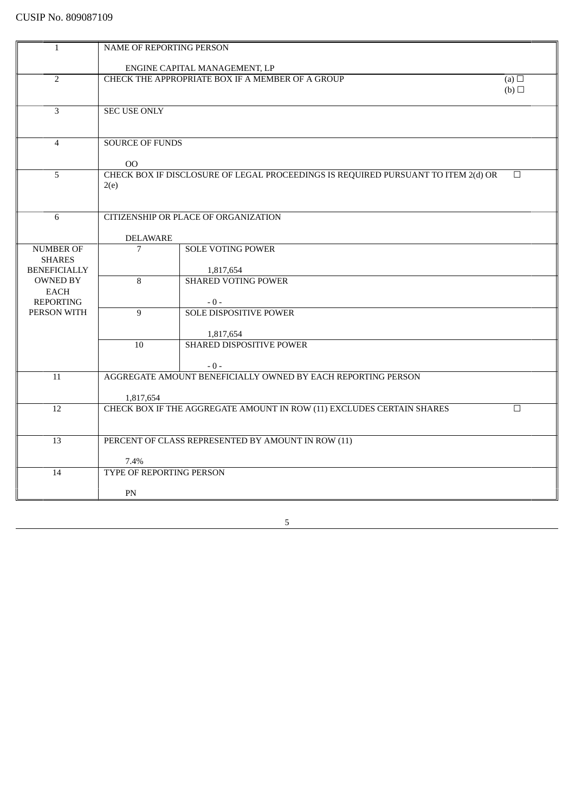| $\mathbf{1}$        |                                                                       |                                                                                   |        |
|---------------------|-----------------------------------------------------------------------|-----------------------------------------------------------------------------------|--------|
|                     | NAME OF REPORTING PERSON                                              |                                                                                   |        |
|                     | ENGINE CAPITAL MANAGEMENT, LP                                         |                                                                                   |        |
| $\overline{2}$      | CHECK THE APPROPRIATE BOX IF A MEMBER OF A GROUP<br>(a) $\Box$        |                                                                                   |        |
|                     |                                                                       |                                                                                   | (b)    |
|                     |                                                                       |                                                                                   |        |
| 3                   | <b>SEC USE ONLY</b>                                                   |                                                                                   |        |
|                     |                                                                       |                                                                                   |        |
|                     |                                                                       |                                                                                   |        |
| $\overline{4}$      | <b>SOURCE OF FUNDS</b>                                                |                                                                                   |        |
|                     |                                                                       |                                                                                   |        |
|                     | $00\,$                                                                |                                                                                   |        |
| 5                   |                                                                       | CHECK BOX IF DISCLOSURE OF LEGAL PROCEEDINGS IS REQUIRED PURSUANT TO ITEM 2(d) OR | $\Box$ |
|                     | 2(e)                                                                  |                                                                                   |        |
|                     |                                                                       |                                                                                   |        |
|                     |                                                                       |                                                                                   |        |
| 6                   |                                                                       | CITIZENSHIP OR PLACE OF ORGANIZATION                                              |        |
|                     | <b>DELAWARE</b>                                                       |                                                                                   |        |
| <b>NUMBER OF</b>    | 7                                                                     | <b>SOLE VOTING POWER</b>                                                          |        |
| <b>SHARES</b>       |                                                                       |                                                                                   |        |
| <b>BENEFICIALLY</b> |                                                                       | 1,817,654                                                                         |        |
| <b>OWNED BY</b>     | 8                                                                     | <b>SHARED VOTING POWER</b>                                                        |        |
| <b>EACH</b>         |                                                                       |                                                                                   |        |
| <b>REPORTING</b>    |                                                                       | $-0-$                                                                             |        |
| PERSON WITH         | $\overline{9}$                                                        | <b>SOLE DISPOSITIVE POWER</b>                                                     |        |
|                     |                                                                       |                                                                                   |        |
|                     |                                                                       | 1,817,654                                                                         |        |
|                     | 10                                                                    | SHARED DISPOSITIVE POWER                                                          |        |
|                     |                                                                       |                                                                                   |        |
|                     |                                                                       | $-0-$<br>AGGREGATE AMOUNT BENEFICIALLY OWNED BY EACH REPORTING PERSON             |        |
| 11                  |                                                                       |                                                                                   |        |
|                     | 1,817,654                                                             |                                                                                   |        |
| $\overline{12}$     | CHECK BOX IF THE AGGREGATE AMOUNT IN ROW (11) EXCLUDES CERTAIN SHARES |                                                                                   | $\Box$ |
|                     |                                                                       |                                                                                   |        |
|                     |                                                                       |                                                                                   |        |
| 13                  | PERCENT OF CLASS REPRESENTED BY AMOUNT IN ROW (11)                    |                                                                                   |        |
|                     |                                                                       |                                                                                   |        |
|                     | 7.4%                                                                  |                                                                                   |        |
| 14                  | <b>TYPE OF REPORTING PERSON</b>                                       |                                                                                   |        |
|                     |                                                                       |                                                                                   |        |
|                     | PN                                                                    |                                                                                   |        |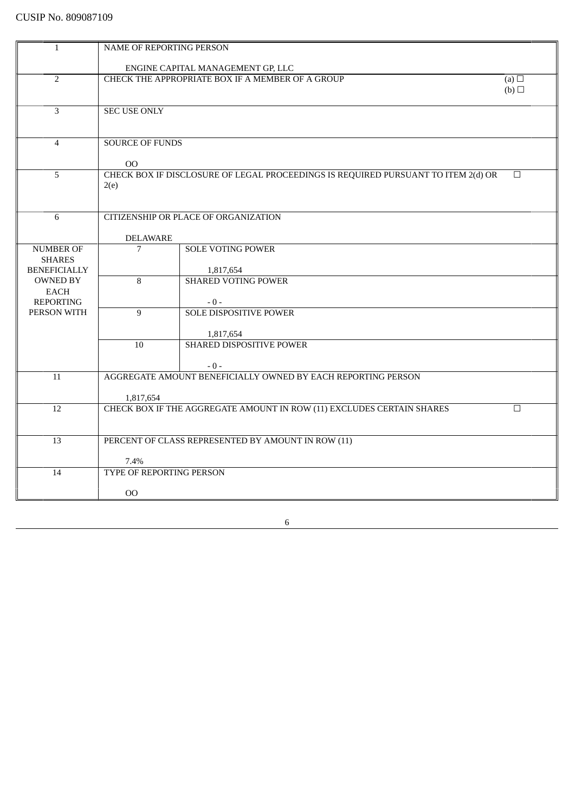| $\mathbf{1}$                         | NAME OF REPORTING PERSON          |                                                                                   |            |  |
|--------------------------------------|-----------------------------------|-----------------------------------------------------------------------------------|------------|--|
|                                      |                                   |                                                                                   |            |  |
|                                      | ENGINE CAPITAL MANAGEMENT GP, LLC |                                                                                   |            |  |
| $\overline{2}$                       |                                   | CHECK THE APPROPRIATE BOX IF A MEMBER OF A GROUP                                  | (a) $\Box$ |  |
|                                      |                                   |                                                                                   | (b)        |  |
|                                      |                                   |                                                                                   |            |  |
| 3                                    | <b>SEC USE ONLY</b>               |                                                                                   |            |  |
|                                      |                                   |                                                                                   |            |  |
| $\overline{4}$                       | <b>SOURCE OF FUNDS</b>            |                                                                                   |            |  |
|                                      |                                   |                                                                                   |            |  |
|                                      | $00\,$                            |                                                                                   |            |  |
| 5                                    |                                   | CHECK BOX IF DISCLOSURE OF LEGAL PROCEEDINGS IS REQUIRED PURSUANT TO ITEM 2(d) OR | $\Box$     |  |
|                                      | 2(e)                              |                                                                                   |            |  |
|                                      |                                   |                                                                                   |            |  |
|                                      |                                   |                                                                                   |            |  |
| 6                                    |                                   | CITIZENSHIP OR PLACE OF ORGANIZATION                                              |            |  |
|                                      |                                   |                                                                                   |            |  |
|                                      | <b>DELAWARE</b>                   |                                                                                   |            |  |
| <b>NUMBER OF</b>                     | $\overline{7}$                    | <b>SOLE VOTING POWER</b>                                                          |            |  |
| <b>SHARES</b><br><b>BENEFICIALLY</b> |                                   |                                                                                   |            |  |
| <b>OWNED BY</b>                      | 8                                 | 1,817,654<br><b>SHARED VOTING POWER</b>                                           |            |  |
| EACH                                 |                                   |                                                                                   |            |  |
| <b>REPORTING</b>                     |                                   | $-0-$                                                                             |            |  |
| PERSON WITH                          | 9                                 | <b>SOLE DISPOSITIVE POWER</b>                                                     |            |  |
|                                      |                                   |                                                                                   |            |  |
|                                      |                                   | 1,817,654                                                                         |            |  |
|                                      | 10                                | SHARED DISPOSITIVE POWER                                                          |            |  |
|                                      |                                   |                                                                                   |            |  |
|                                      |                                   | $-0-$                                                                             |            |  |
| 11                                   |                                   | AGGREGATE AMOUNT BENEFICIALLY OWNED BY EACH REPORTING PERSON                      |            |  |
|                                      |                                   |                                                                                   |            |  |
|                                      | 1,817,654                         |                                                                                   |            |  |
| 12                                   |                                   | CHECK BOX IF THE AGGREGATE AMOUNT IN ROW (11) EXCLUDES CERTAIN SHARES             | $\Box$     |  |
|                                      |                                   |                                                                                   |            |  |
| 13                                   |                                   | PERCENT OF CLASS REPRESENTED BY AMOUNT IN ROW (11)                                |            |  |
|                                      |                                   |                                                                                   |            |  |
|                                      | 7.4%                              |                                                                                   |            |  |
| 14                                   | TYPE OF REPORTING PERSON          |                                                                                   |            |  |
|                                      |                                   |                                                                                   |            |  |
|                                      | <sub>OO</sub>                     |                                                                                   |            |  |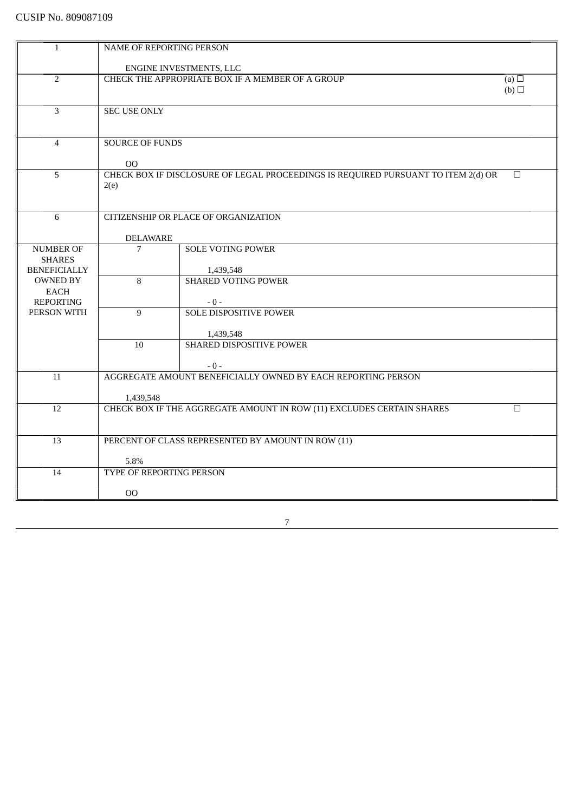| NAME OF REPORTING PERSON |  |  |
|--------------------------|--|--|
| ENGINE INVESTMENTS, LLC  |  |  |
|                          |  |  |
| (a) $\Box$               |  |  |
| (b)                      |  |  |
|                          |  |  |
|                          |  |  |
|                          |  |  |
|                          |  |  |
|                          |  |  |
|                          |  |  |
| □                        |  |  |
|                          |  |  |
|                          |  |  |
|                          |  |  |
|                          |  |  |
|                          |  |  |
|                          |  |  |
|                          |  |  |
|                          |  |  |
|                          |  |  |
|                          |  |  |
|                          |  |  |
|                          |  |  |
|                          |  |  |
|                          |  |  |
|                          |  |  |
|                          |  |  |
|                          |  |  |
|                          |  |  |
|                          |  |  |
|                          |  |  |
| $\Box$                   |  |  |
|                          |  |  |
|                          |  |  |
|                          |  |  |
|                          |  |  |
|                          |  |  |
|                          |  |  |
|                          |  |  |
|                          |  |  |
|                          |  |  |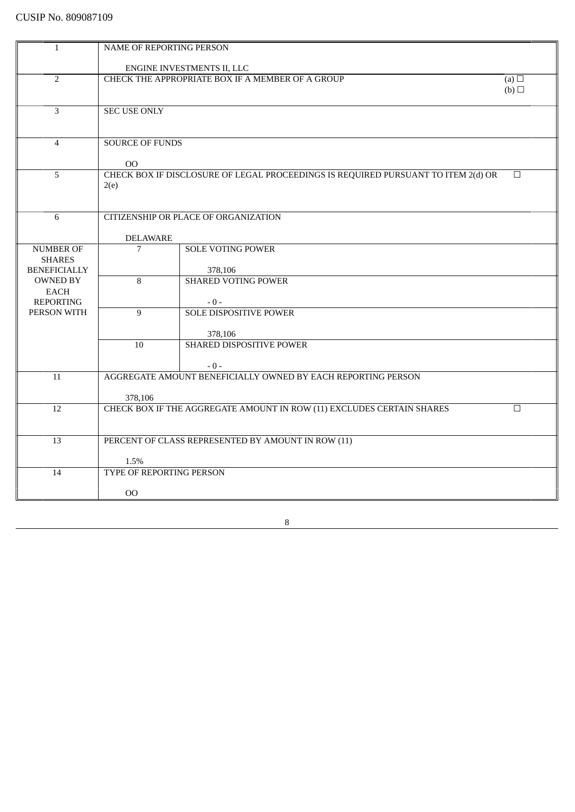| $\mathbf{1}$        |                                                  |                                                                                   |            |
|---------------------|--------------------------------------------------|-----------------------------------------------------------------------------------|------------|
|                     | NAME OF REPORTING PERSON                         |                                                                                   |            |
|                     | ENGINE INVESTMENTS II, LLC                       |                                                                                   |            |
|                     | CHECK THE APPROPRIATE BOX IF A MEMBER OF A GROUP |                                                                                   |            |
| $\overline{2}$      |                                                  |                                                                                   | (a) $\Box$ |
|                     |                                                  |                                                                                   | (b)        |
|                     |                                                  |                                                                                   |            |
| 3                   | <b>SEC USE ONLY</b>                              |                                                                                   |            |
|                     |                                                  |                                                                                   |            |
|                     | <b>SOURCE OF FUNDS</b>                           |                                                                                   |            |
| $\overline{4}$      |                                                  |                                                                                   |            |
|                     | 00                                               |                                                                                   |            |
| 5                   |                                                  | CHECK BOX IF DISCLOSURE OF LEGAL PROCEEDINGS IS REQUIRED PURSUANT TO ITEM 2(d) OR | $\Box$     |
|                     | 2(e)                                             |                                                                                   |            |
|                     |                                                  |                                                                                   |            |
|                     |                                                  |                                                                                   |            |
| 6                   |                                                  | CITIZENSHIP OR PLACE OF ORGANIZATION                                              |            |
|                     |                                                  |                                                                                   |            |
|                     | <b>DELAWARE</b>                                  |                                                                                   |            |
| <b>NUMBER OF</b>    | $\overline{7}$                                   | <b>SOLE VOTING POWER</b>                                                          |            |
| <b>SHARES</b>       |                                                  |                                                                                   |            |
| <b>BENEFICIALLY</b> |                                                  | 378,106                                                                           |            |
| <b>OWNED BY</b>     | 8                                                | <b>SHARED VOTING POWER</b>                                                        |            |
| EACH                |                                                  |                                                                                   |            |
| <b>REPORTING</b>    |                                                  | $-0-$                                                                             |            |
| PERSON WITH         | $\overline{9}$                                   | <b>SOLE DISPOSITIVE POWER</b>                                                     |            |
|                     |                                                  |                                                                                   |            |
|                     |                                                  | 378,106                                                                           |            |
|                     | 10                                               | SHARED DISPOSITIVE POWER                                                          |            |
|                     |                                                  |                                                                                   |            |
|                     |                                                  | $-0-$                                                                             |            |
| 11                  |                                                  | AGGREGATE AMOUNT BENEFICIALLY OWNED BY EACH REPORTING PERSON                      |            |
|                     |                                                  |                                                                                   |            |
|                     | 378,106                                          |                                                                                   |            |
| 12                  |                                                  | CHECK BOX IF THE AGGREGATE AMOUNT IN ROW (11) EXCLUDES CERTAIN SHARES             | $\Box$     |
|                     |                                                  |                                                                                   |            |
|                     |                                                  |                                                                                   |            |
| 13                  |                                                  | PERCENT OF CLASS REPRESENTED BY AMOUNT IN ROW (11)                                |            |
|                     |                                                  |                                                                                   |            |
|                     | 1.5%                                             |                                                                                   |            |
| 14                  | TYPE OF REPORTING PERSON                         |                                                                                   |            |
|                     |                                                  |                                                                                   |            |
|                     | 00                                               |                                                                                   |            |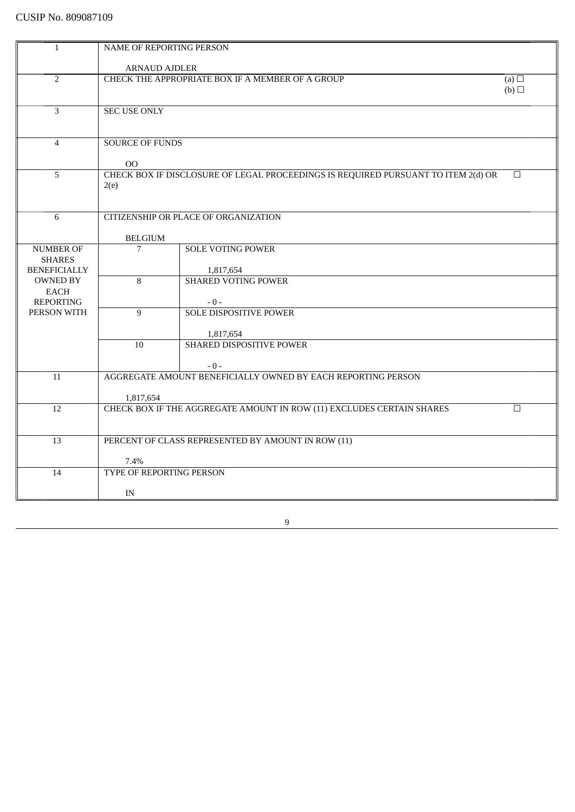| $\mathbf{1}$        | NAME OF REPORTING PERSON         |                                                                                   |            |
|---------------------|----------------------------------|-----------------------------------------------------------------------------------|------------|
|                     |                                  |                                                                                   |            |
|                     | <b>ARNAUD AJDLER</b>             |                                                                                   |            |
| $\overline{2}$      |                                  | CHECK THE APPROPRIATE BOX IF A MEMBER OF A GROUP                                  | (a) $\Box$ |
|                     |                                  |                                                                                   | (b)        |
|                     |                                  |                                                                                   |            |
| 3                   | <b>SEC USE ONLY</b>              |                                                                                   |            |
|                     |                                  |                                                                                   |            |
|                     |                                  |                                                                                   |            |
| $\overline{4}$      | <b>SOURCE OF FUNDS</b>           |                                                                                   |            |
|                     |                                  |                                                                                   |            |
|                     | 00                               |                                                                                   |            |
| 5                   |                                  | CHECK BOX IF DISCLOSURE OF LEGAL PROCEEDINGS IS REQUIRED PURSUANT TO ITEM 2(d) OR | $\Box$     |
|                     | 2(e)                             |                                                                                   |            |
|                     |                                  |                                                                                   |            |
|                     |                                  |                                                                                   |            |
| 6                   |                                  | CITIZENSHIP OR PLACE OF ORGANIZATION                                              |            |
|                     |                                  |                                                                                   |            |
|                     | <b>BELGIUM</b>                   |                                                                                   |            |
| <b>NUMBER OF</b>    | 7                                | <b>SOLE VOTING POWER</b>                                                          |            |
| <b>SHARES</b>       |                                  |                                                                                   |            |
| <b>BENEFICIALLY</b> |                                  | 1,817,654                                                                         |            |
| <b>OWNED BY</b>     | 8                                | <b>SHARED VOTING POWER</b>                                                        |            |
| <b>EACH</b>         |                                  |                                                                                   |            |
| <b>REPORTING</b>    |                                  | $-0-$                                                                             |            |
| PERSON WITH         | 9                                | <b>SOLE DISPOSITIVE POWER</b>                                                     |            |
|                     |                                  |                                                                                   |            |
|                     |                                  | 1,817,654                                                                         |            |
|                     | 10 <sup>1</sup>                  | SHARED DISPOSITIVE POWER                                                          |            |
|                     |                                  |                                                                                   |            |
|                     |                                  | $-0-$                                                                             |            |
| 11                  |                                  | AGGREGATE AMOUNT BENEFICIALLY OWNED BY EACH REPORTING PERSON                      |            |
|                     |                                  |                                                                                   |            |
|                     | 1,817,654                        |                                                                                   |            |
| 12                  |                                  | CHECK BOX IF THE AGGREGATE AMOUNT IN ROW (11) EXCLUDES CERTAIN SHARES             | П          |
|                     |                                  |                                                                                   |            |
|                     |                                  |                                                                                   |            |
| 13                  |                                  | PERCENT OF CLASS REPRESENTED BY AMOUNT IN ROW (11)                                |            |
|                     |                                  |                                                                                   |            |
|                     | 7.4%<br>TYPE OF REPORTING PERSON |                                                                                   |            |
| 14                  |                                  |                                                                                   |            |
|                     |                                  |                                                                                   |            |
|                     | IN                               |                                                                                   |            |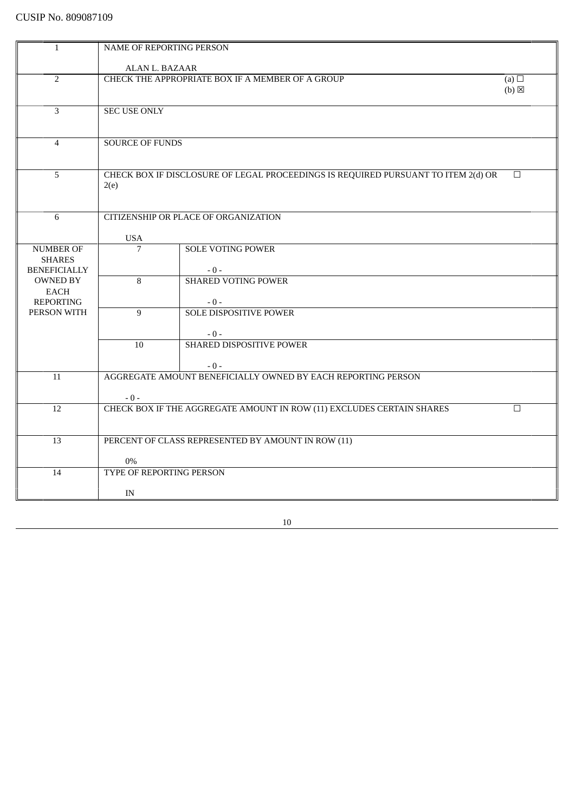| $\mathbf{1}$        | NAME OF REPORTING PERSON                                       |                                                                                   |                   |
|---------------------|----------------------------------------------------------------|-----------------------------------------------------------------------------------|-------------------|
|                     | ALAN L. BAZAAR                                                 |                                                                                   |                   |
| $\overline{2}$      | CHECK THE APPROPRIATE BOX IF A MEMBER OF A GROUP<br>(a) $\Box$ |                                                                                   |                   |
|                     |                                                                |                                                                                   | $(b)$ $\boxtimes$ |
| 3                   | <b>SEC USE ONLY</b>                                            |                                                                                   |                   |
|                     |                                                                |                                                                                   |                   |
| $\overline{4}$      | <b>SOURCE OF FUNDS</b>                                         |                                                                                   |                   |
|                     |                                                                |                                                                                   |                   |
| 5                   |                                                                | CHECK BOX IF DISCLOSURE OF LEGAL PROCEEDINGS IS REQUIRED PURSUANT TO ITEM 2(d) OR | $\Box$            |
|                     | 2(e)                                                           |                                                                                   |                   |
|                     |                                                                |                                                                                   |                   |
| 6                   |                                                                | CITIZENSHIP OR PLACE OF ORGANIZATION                                              |                   |
|                     | <b>USA</b>                                                     |                                                                                   |                   |
| <b>NUMBER OF</b>    | $\overline{7}$                                                 | <b>SOLE VOTING POWER</b>                                                          |                   |
| <b>SHARES</b>       |                                                                |                                                                                   |                   |
| <b>BENEFICIALLY</b> |                                                                | $-0-$                                                                             |                   |
| <b>OWNED BY</b>     | $\overline{8}$                                                 | <b>SHARED VOTING POWER</b>                                                        |                   |
| <b>EACH</b>         |                                                                |                                                                                   |                   |
| <b>REPORTING</b>    |                                                                | $-0-$                                                                             |                   |
| PERSON WITH         | 9                                                              | <b>SOLE DISPOSITIVE POWER</b>                                                     |                   |
|                     |                                                                |                                                                                   |                   |
|                     |                                                                | $-0-$                                                                             |                   |
|                     | 10                                                             | SHARED DISPOSITIVE POWER                                                          |                   |
|                     |                                                                |                                                                                   |                   |
|                     |                                                                | $-0-$                                                                             |                   |
| 11                  |                                                                | AGGREGATE AMOUNT BENEFICIALLY OWNED BY EACH REPORTING PERSON                      |                   |
|                     |                                                                |                                                                                   |                   |
|                     | $-0-$                                                          |                                                                                   |                   |
| 12                  |                                                                | CHECK BOX IF THE AGGREGATE AMOUNT IN ROW (11) EXCLUDES CERTAIN SHARES             | $\Box$            |
|                     |                                                                |                                                                                   |                   |
| 13                  | PERCENT OF CLASS REPRESENTED BY AMOUNT IN ROW (11)             |                                                                                   |                   |
|                     |                                                                |                                                                                   |                   |
|                     | $0\%$                                                          |                                                                                   |                   |
| 14                  | TYPE OF REPORTING PERSON                                       |                                                                                   |                   |
|                     | IN                                                             |                                                                                   |                   |
|                     |                                                                |                                                                                   |                   |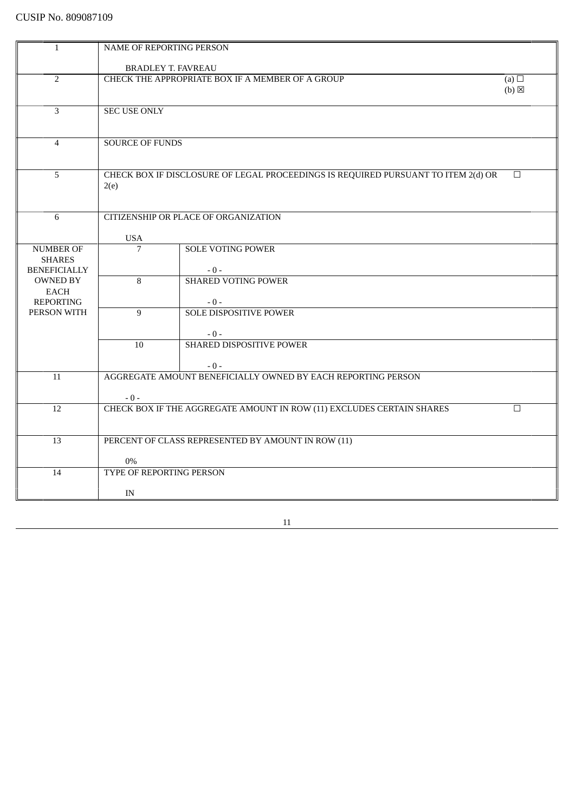| $\mathbf{1}$        | NAME OF REPORTING PERSON                         |                                                                                   |                 |
|---------------------|--------------------------------------------------|-----------------------------------------------------------------------------------|-----------------|
|                     | <b>BRADLEY T. FAVREAU</b>                        |                                                                                   |                 |
|                     |                                                  |                                                                                   |                 |
| $\overline{2}$      | CHECK THE APPROPRIATE BOX IF A MEMBER OF A GROUP |                                                                                   | (a) $\Box$      |
|                     |                                                  |                                                                                   | $(b) \boxtimes$ |
|                     |                                                  |                                                                                   |                 |
| 3                   | <b>SEC USE ONLY</b>                              |                                                                                   |                 |
|                     |                                                  |                                                                                   |                 |
|                     |                                                  |                                                                                   |                 |
| $\overline{4}$      | <b>SOURCE OF FUNDS</b>                           |                                                                                   |                 |
|                     |                                                  |                                                                                   |                 |
|                     |                                                  |                                                                                   |                 |
| 5                   |                                                  | CHECK BOX IF DISCLOSURE OF LEGAL PROCEEDINGS IS REQUIRED PURSUANT TO ITEM 2(d) OR | $\Box$          |
|                     | 2(e)                                             |                                                                                   |                 |
|                     |                                                  |                                                                                   |                 |
| 6                   |                                                  | CITIZENSHIP OR PLACE OF ORGANIZATION                                              |                 |
|                     |                                                  |                                                                                   |                 |
|                     | <b>USA</b>                                       |                                                                                   |                 |
| <b>NUMBER OF</b>    | $\overline{7}$                                   | <b>SOLE VOTING POWER</b>                                                          |                 |
| <b>SHARES</b>       |                                                  |                                                                                   |                 |
| <b>BENEFICIALLY</b> |                                                  | $-0-$                                                                             |                 |
| <b>OWNED BY</b>     | $\overline{8}$                                   | <b>SHARED VOTING POWER</b>                                                        |                 |
| EACH                |                                                  |                                                                                   |                 |
| <b>REPORTING</b>    |                                                  | $-0-$                                                                             |                 |
| PERSON WITH         | 9                                                | <b>SOLE DISPOSITIVE POWER</b>                                                     |                 |
|                     |                                                  |                                                                                   |                 |
|                     |                                                  | $-0-$                                                                             |                 |
|                     | 10 <sup>1</sup>                                  | SHARED DISPOSITIVE POWER                                                          |                 |
|                     |                                                  |                                                                                   |                 |
|                     |                                                  | $-0-$                                                                             |                 |
| $\overline{11}$     |                                                  | AGGREGATE AMOUNT BENEFICIALLY OWNED BY EACH REPORTING PERSON                      |                 |
|                     |                                                  |                                                                                   |                 |
|                     | $-0-$                                            |                                                                                   |                 |
| 12                  |                                                  | CHECK BOX IF THE AGGREGATE AMOUNT IN ROW (11) EXCLUDES CERTAIN SHARES             | $\Box$          |
|                     |                                                  |                                                                                   |                 |
|                     |                                                  |                                                                                   |                 |
| 13                  |                                                  | PERCENT OF CLASS REPRESENTED BY AMOUNT IN ROW (11)                                |                 |
|                     |                                                  |                                                                                   |                 |
|                     | $0\%$                                            |                                                                                   |                 |
| 14                  | TYPE OF REPORTING PERSON                         |                                                                                   |                 |
|                     |                                                  |                                                                                   |                 |
|                     | IN                                               |                                                                                   |                 |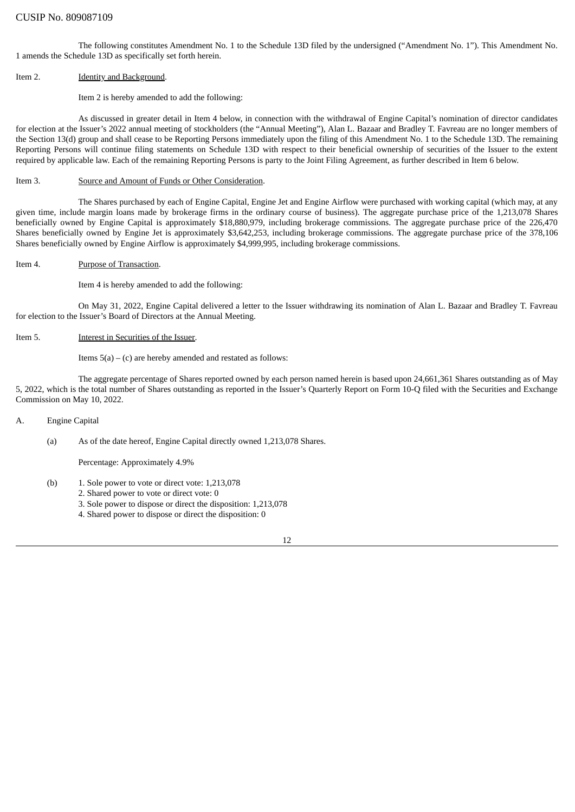The following constitutes Amendment No. 1 to the Schedule 13D filed by the undersigned ("Amendment No. 1"). This Amendment No. 1 amends the Schedule 13D as specifically set forth herein.

#### Item 2. **Identity and Background.**

#### Item 2 is hereby amended to add the following:

As discussed in greater detail in Item 4 below, in connection with the withdrawal of Engine Capital's nomination of director candidates for election at the Issuer's 2022 annual meeting of stockholders (the "Annual Meeting"), Alan L. Bazaar and Bradley T. Favreau are no longer members of the Section 13(d) group and shall cease to be Reporting Persons immediately upon the filing of this Amendment No. 1 to the Schedule 13D. The remaining Reporting Persons will continue filing statements on Schedule 13D with respect to their beneficial ownership of securities of the Issuer to the extent required by applicable law. Each of the remaining Reporting Persons is party to the Joint Filing Agreement, as further described in Item 6 below.

#### Item 3. Source and Amount of Funds or Other Consideration.

The Shares purchased by each of Engine Capital, Engine Jet and Engine Airflow were purchased with working capital (which may, at any given time, include margin loans made by brokerage firms in the ordinary course of business). The aggregate purchase price of the 1,213,078 Shares beneficially owned by Engine Capital is approximately \$18,880,979, including brokerage commissions. The aggregate purchase price of the 226,470 Shares beneficially owned by Engine Jet is approximately \$3,642,253, including brokerage commissions. The aggregate purchase price of the 378,106 Shares beneficially owned by Engine Airflow is approximately \$4,999,995, including brokerage commissions.

#### Item 4. Purpose of Transaction.

Item 4 is hereby amended to add the following:

On May 31, 2022, Engine Capital delivered a letter to the Issuer withdrawing its nomination of Alan L. Bazaar and Bradley T. Favreau for election to the Issuer's Board of Directors at the Annual Meeting.

#### Item 5. Interest in Securities of the Issuer.

Items  $5(a) - (c)$  are hereby amended and restated as follows:

The aggregate percentage of Shares reported owned by each person named herein is based upon 24,661,361 Shares outstanding as of May 5, 2022, which is the total number of Shares outstanding as reported in the Issuer's Quarterly Report on Form 10-Q filed with the Securities and Exchange Commission on May 10, 2022.

## A. Engine Capital

(a) As of the date hereof, Engine Capital directly owned 1,213,078 Shares.

Percentage: Approximately 4.9%

- (b) 1. Sole power to vote or direct vote: 1,213,078
	- 2. Shared power to vote or direct vote: 0
	- 3. Sole power to dispose or direct the disposition: 1,213,078
	- 4. Shared power to dispose or direct the disposition: 0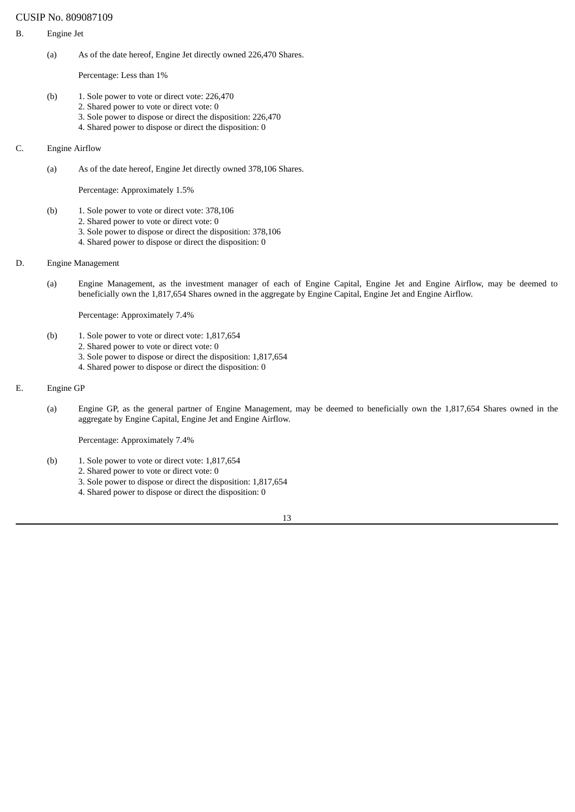#### B. Engine Jet

(a) As of the date hereof, Engine Jet directly owned 226,470 Shares.

Percentage: Less than 1%

- (b) 1. Sole power to vote or direct vote: 226,470
	- 2. Shared power to vote or direct vote: 0
		- 3. Sole power to dispose or direct the disposition: 226,470
		- 4. Shared power to dispose or direct the disposition: 0

## C. Engine Airflow

(a) As of the date hereof, Engine Jet directly owned 378,106 Shares.

Percentage: Approximately 1.5%

- (b) 1. Sole power to vote or direct vote: 378,106
	- 2. Shared power to vote or direct vote: 0
		- 3. Sole power to dispose or direct the disposition: 378,106
		- 4. Shared power to dispose or direct the disposition: 0
- D. Engine Management
	- (a) Engine Management, as the investment manager of each of Engine Capital, Engine Jet and Engine Airflow, may be deemed to beneficially own the 1,817,654 Shares owned in the aggregate by Engine Capital, Engine Jet and Engine Airflow.

Percentage: Approximately 7.4%

- (b) 1. Sole power to vote or direct vote: 1,817,654
	- 2. Shared power to vote or direct vote: 0
	- 3. Sole power to dispose or direct the disposition: 1,817,654
	- 4. Shared power to dispose or direct the disposition: 0

## E. Engine GP

(a) Engine GP, as the general partner of Engine Management, may be deemed to beneficially own the 1,817,654 Shares owned in the aggregate by Engine Capital, Engine Jet and Engine Airflow.

Percentage: Approximately 7.4%

- (b) 1. Sole power to vote or direct vote: 1,817,654
	- 2. Shared power to vote or direct vote: 0
	- 3. Sole power to dispose or direct the disposition: 1,817,654
	- 4. Shared power to dispose or direct the disposition: 0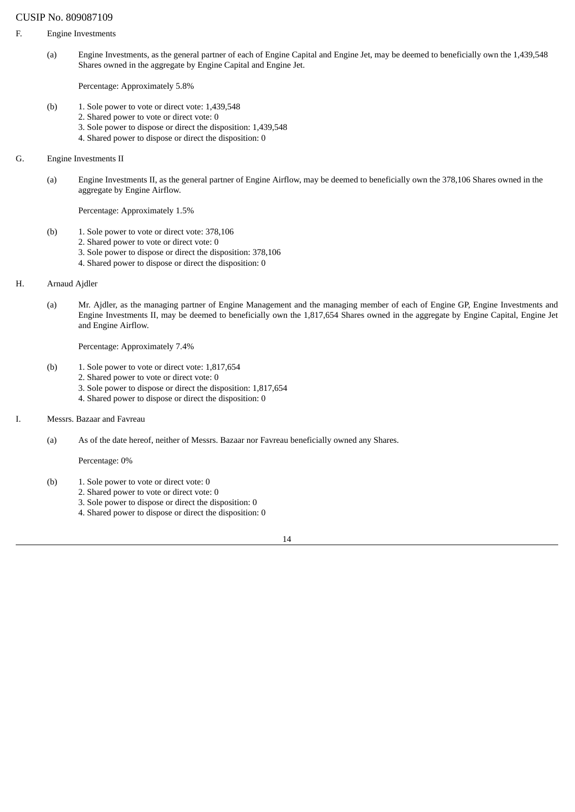- F. Engine Investments
	- (a) Engine Investments, as the general partner of each of Engine Capital and Engine Jet, may be deemed to beneficially own the 1,439,548 Shares owned in the aggregate by Engine Capital and Engine Jet.

Percentage: Approximately 5.8%

- (b) 1. Sole power to vote or direct vote: 1,439,548
	- 2. Shared power to vote or direct vote: 0
		- 3. Sole power to dispose or direct the disposition: 1,439,548
		- 4. Shared power to dispose or direct the disposition: 0
- G. Engine Investments II
	- (a) Engine Investments II, as the general partner of Engine Airflow, may be deemed to beneficially own the 378,106 Shares owned in the aggregate by Engine Airflow.

Percentage: Approximately 1.5%

- (b) 1. Sole power to vote or direct vote: 378,106
	- 2. Shared power to vote or direct vote: 0
	- 3. Sole power to dispose or direct the disposition: 378,106
	- 4. Shared power to dispose or direct the disposition: 0
- H. Arnaud Ajdler
	- (a) Mr. Ajdler, as the managing partner of Engine Management and the managing member of each of Engine GP, Engine Investments and Engine Investments II, may be deemed to beneficially own the 1,817,654 Shares owned in the aggregate by Engine Capital, Engine Jet and Engine Airflow.

Percentage: Approximately 7.4%

- (b) 1. Sole power to vote or direct vote: 1,817,654
	- 2. Shared power to vote or direct vote: 0
	- 3. Sole power to dispose or direct the disposition: 1,817,654
	- 4. Shared power to dispose or direct the disposition: 0
- I. Messrs. Bazaar and Favreau
	- (a) As of the date hereof, neither of Messrs. Bazaar nor Favreau beneficially owned any Shares.

Percentage: 0%

- (b) 1. Sole power to vote or direct vote: 0
	- 2. Shared power to vote or direct vote: 0
	- 3. Sole power to dispose or direct the disposition: 0
	- 4. Shared power to dispose or direct the disposition: 0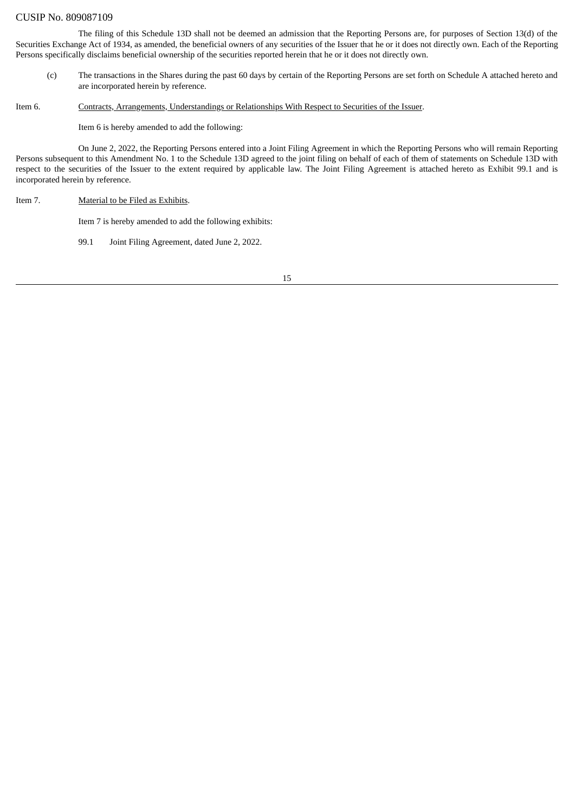The filing of this Schedule 13D shall not be deemed an admission that the Reporting Persons are, for purposes of Section 13(d) of the Securities Exchange Act of 1934, as amended, the beneficial owners of any securities of the Issuer that he or it does not directly own. Each of the Reporting Persons specifically disclaims beneficial ownership of the securities reported herein that he or it does not directly own.

(c) The transactions in the Shares during the past 60 days by certain of the Reporting Persons are set forth on Schedule A attached hereto and are incorporated herein by reference.

Item 6. Contracts, Arrangements, Understandings or Relationships With Respect to Securities of the Issuer.

Item 6 is hereby amended to add the following:

On June 2, 2022, the Reporting Persons entered into a Joint Filing Agreement in which the Reporting Persons who will remain Reporting Persons subsequent to this Amendment No. 1 to the Schedule 13D agreed to the joint filing on behalf of each of them of statements on Schedule 13D with respect to the securities of the Issuer to the extent required by applicable law. The Joint Filing Agreement is attached hereto as Exhibit 99.1 and is incorporated herein by reference.

#### Item 7. Material to be Filed as Exhibits.

Item 7 is hereby amended to add the following exhibits:

99.1 Joint Filing Agreement, dated June 2, 2022.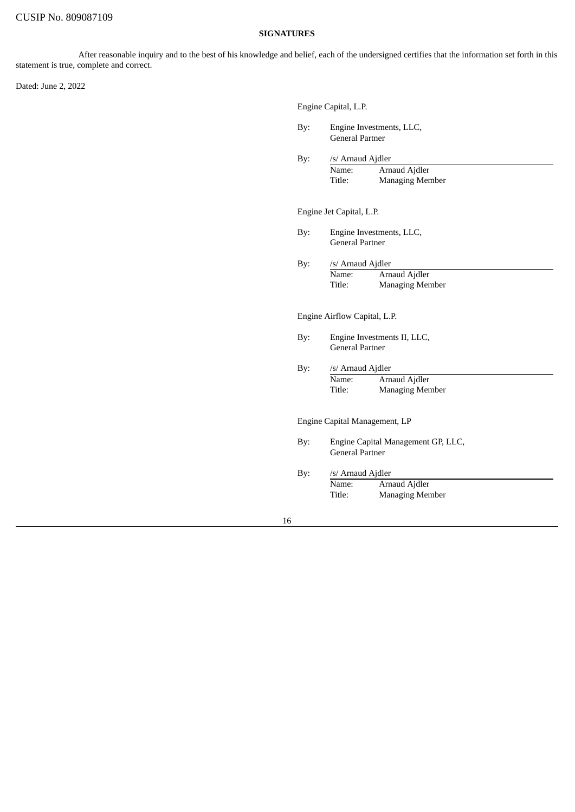# **SIGNATURES**

After reasonable inquiry and to the best of his knowledge and belief, each of the undersigned certifies that the information set forth in this statement is true, complete and correct.

Dated: June 2, 2022

|     | Engine Capital, L.P.                                       |
|-----|------------------------------------------------------------|
| By: | Engine Investments, LLC,<br><b>General Partner</b>         |
| By: | /s/ Arnaud Ajdler                                          |
|     | Arnaud Ajdler<br>Name:<br>Title:<br><b>Managing Member</b> |
|     | Engine Jet Capital, L.P.                                   |
| By: | Engine Investments, LLC,<br><b>General Partner</b>         |
| By: | /s/ Arnaud Ajdler                                          |
|     | Arnaud Ajdler<br>Name:<br>Title:<br><b>Managing Member</b> |
|     | Engine Airflow Capital, L.P.                               |
| By: | Engine Investments II, LLC,<br><b>General Partner</b>      |
| By: | /s/ Arnaud Ajdler                                          |
|     | Name:<br>Arnaud Ajdler<br>Title:<br><b>Managing Member</b> |
|     | Engine Capital Management, LP                              |
| By: | Engine Capital Management GP, LLC,<br>General Partner      |
| By: | /s/ Arnaud Ajdler                                          |
|     | Arnaud Ajdler<br>Name:<br>Title:<br><b>Managing Member</b> |
|     |                                                            |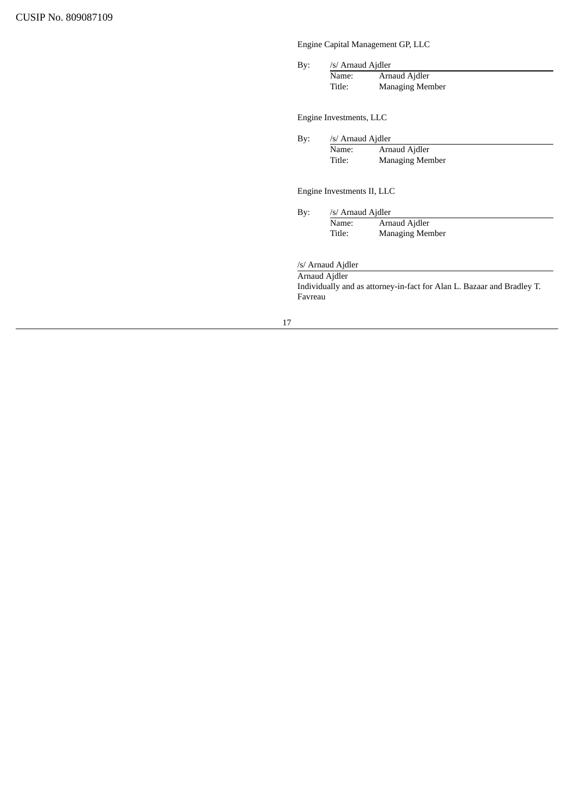Engine Capital Management GP, LLC

By: /s/ Arnaud Ajdler

| Name:  | Arnaud Ajdler          |
|--------|------------------------|
| Title: | <b>Managing Member</b> |

Engine Investments, LLC

By: /s/ Arnaud Ajdler

| Name:  | Arnaud Ajdler          |
|--------|------------------------|
| Title: | <b>Managing Member</b> |

Engine Investments II, LLC

By: /s/ Arnaud Ajdler Name: Arnaud Ajdler<br>Title: Managing Men Managing Member

/s/ Arnaud Ajdler

Arnaud Ajdler

Individually and as attorney-in-fact for Alan L. Bazaar and Bradley T. Favreau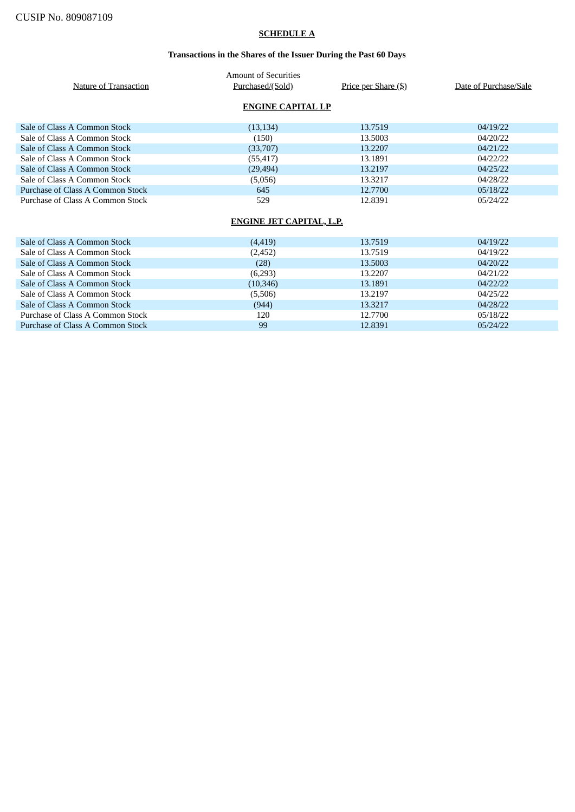# **SCHEDULE A**

# **Transactions in the Shares of the Issuer During the Past 60 Days**

| Nature of Transaction            | <b>Amount of Securities</b><br>Purchased/(Sold) | Price per Share (\$) | Date of Purchase/Sale |
|----------------------------------|-------------------------------------------------|----------------------|-----------------------|
|                                  | <b>ENGINE CAPITAL LP</b>                        |                      |                       |
| Sale of Class A Common Stock     | (13, 134)                                       | 13.7519              | 04/19/22              |
| Sale of Class A Common Stock     | (150)                                           | 13.5003              | 04/20/22              |
| Sale of Class A Common Stock     | (33,707)                                        | 13.2207              | 04/21/22              |
| Sale of Class A Common Stock     | (55, 417)                                       | 13.1891              | 04/22/22              |
| Sale of Class A Common Stock     | (29, 494)                                       | 13.2197              | 04/25/22              |
| Sale of Class A Common Stock     | (5,056)                                         | 13.3217              | 04/28/22              |
| Purchase of Class A Common Stock | 645                                             | 12.7700              | 05/18/22              |
| Purchase of Class A Common Stock | 529                                             | 12.8391              | 05/24/22              |
|                                  |                                                 |                      |                       |
| ENGINE JET CAPITAL, L.P.         |                                                 |                      |                       |
| Sale of Class A Common Stock     | (4, 419)                                        | 13.7519              | 04/19/22              |

| <u>Jail Of Chass In Common Stock</u> | <u>.</u>  | 10.70 L.J | $U$ <sup>-1</sup> $1$ $U$ $\sim$ $\sim$ |
|--------------------------------------|-----------|-----------|-----------------------------------------|
| Sale of Class A Common Stock         | (2, 452)  | 13.7519   | 04/19/22                                |
| Sale of Class A Common Stock         | (28)      | 13.5003   | 04/20/22                                |
| Sale of Class A Common Stock         | (6,293)   | 13.2207   | 04/21/22                                |
| Sale of Class A Common Stock         | (10, 346) | 13.1891   | 04/22/22                                |
| Sale of Class A Common Stock         | (5,506)   | 13.2197   | 04/25/22                                |
| Sale of Class A Common Stock         | (944)     | 13.3217   | 04/28/22                                |
| Purchase of Class A Common Stock     | 120       | 12.7700   | 05/18/22                                |
| Purchase of Class A Common Stock     | 99        | 12.8391   | 05/24/22                                |
|                                      |           |           |                                         |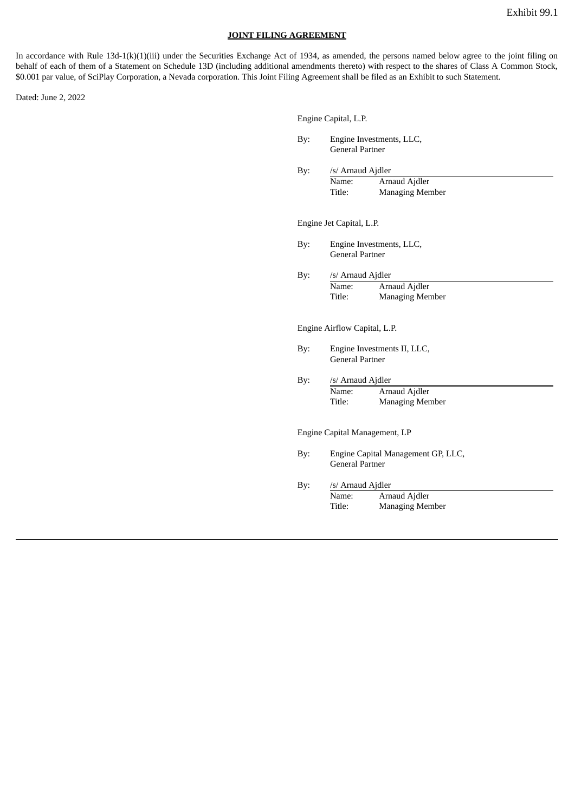#### **JOINT FILING AGREEMENT**

In accordance with Rule 13d-1(k)(1)(iii) under the Securities Exchange Act of 1934, as amended, the persons named below agree to the joint filing on behalf of each of them of a Statement on Schedule 13D (including additional amendments thereto) with respect to the shares of Class A Common Stock, \$0.001 par value, of SciPlay Corporation, a Nevada corporation. This Joint Filing Agreement shall be filed as an Exhibit to such Statement.

Dated: June 2, 2022

| Engine Capital, L.P. |  |
|----------------------|--|
|                      |  |

- By: Engine Investments, LLC, General Partner
- By: /s/ Arnaud Ajdler Name: Arnaud Ajdler Title: Managing Member

Engine Jet Capital, L.P.

By: Engine Investments, LLC, General Partner

By: /s/ Arnaud Ajdler Name: Arnaud Ajdler

Title: Managing Member

Engine Airflow Capital, L.P.

- By: Engine Investments II, LLC, General Partner
- By: /s/ Arnaud Ajdler Name: Arnaud Ajdler<br>Title: Managing Mer **Managing Member**

Engine Capital Management, LP

By: Engine Capital Management GP, LLC, General Partner

By: /s/ Arnaud Ajdler Name: Arnaud Ajdler Title: Managing Member